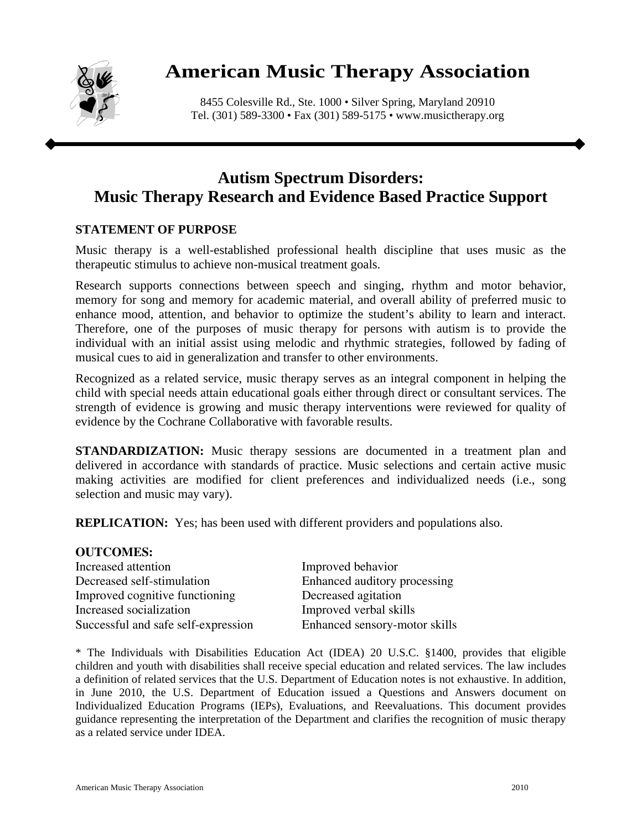

## **American Music Therapy Association**

8455 Colesville Rd., Ste. 1000 • Silver Spring, Maryland 20910 Tel. (301) 589-3300 • Fax (301) 589-5175 • www.musictherapy.org

## **Autism Spectrum Disorders: Music Therapy Research and Evidence Based Practice Support**

## **STATEMENT OF PURPOSE**

Music therapy is a well-established professional health discipline that uses music as the therapeutic stimulus to achieve non-musical treatment goals.

Research supports connections between speech and singing, rhythm and motor behavior, memory for song and memory for academic material, and overall ability of preferred music to enhance mood, attention, and behavior to optimize the student's ability to learn and interact. Therefore, one of the purposes of music therapy for persons with autism is to provide the individual with an initial assist using melodic and rhythmic strategies, followed by fading of musical cues to aid in generalization and transfer to other environments.

Recognized as a related service, music therapy serves as an integral component in helping the child with special needs attain educational goals either through direct or consultant services. The strength of evidence is growing and music therapy interventions were reviewed for quality of evidence by the Cochrane Collaborative with favorable results.

**STANDARDIZATION:** Music therapy sessions are documented in a treatment plan and delivered in accordance with standards of practice. Music selections and certain active music making activities are modified for client preferences and individualized needs (i.e., song selection and music may vary).

**REPLICATION:** Yes; has been used with different providers and populations also.

| Improved behavior             |
|-------------------------------|
| Enhanced auditory processing  |
| Decreased agitation           |
| Improved verbal skills        |
| Enhanced sensory-motor skills |
|                               |

\* The Individuals with Disabilities Education Act (IDEA) 20 U.S.C. §1400, provides that eligible children and youth with disabilities shall receive special education and related services. The law includes a definition of related services that the U.S. Department of Education notes is not exhaustive. In addition, in June 2010, the U.S. Department of Education issued a Questions and Answers document on Individualized Education Programs (IEPs), Evaluations, and Reevaluations. This document provides guidance representing the interpretation of the Department and clarifies the recognition of music therapy as a related service under IDEA.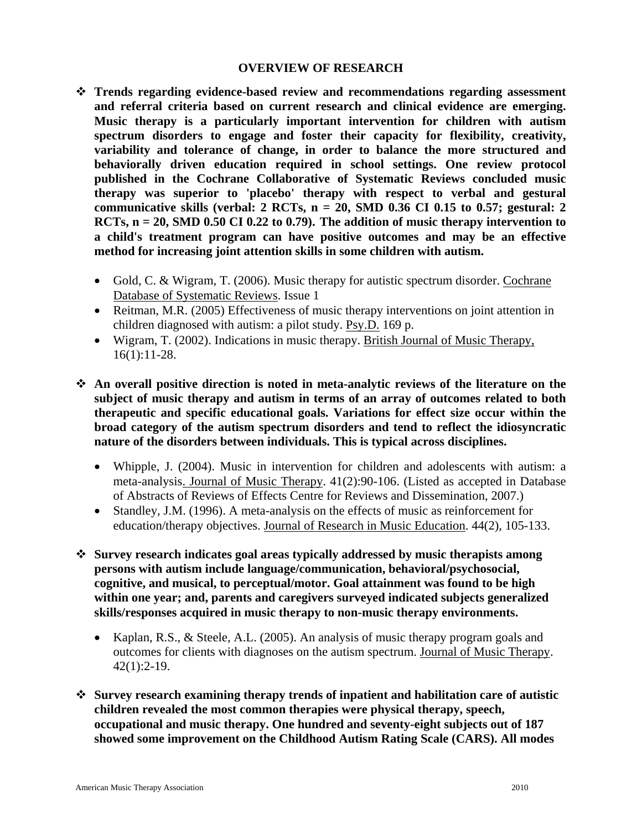## **OVERVIEW OF RESEARCH**

- **Trends regarding evidence-based review and recommendations regarding assessment and referral criteria based on current research and clinical evidence are emerging. Music therapy is a particularly important intervention for children with autism spectrum disorders to engage and foster their capacity for flexibility, creativity, variability and tolerance of change, in order to balance the more structured and behaviorally driven education required in school settings. One review protocol published in the Cochrane Collaborative of Systematic Reviews concluded music therapy was superior to 'placebo' therapy with respect to verbal and gestural communicative skills (verbal: 2 RCTs, n = 20, SMD 0.36 CI 0.15 to 0.57; gestural: 2 RCTs, n = 20, SMD 0.50 CI 0.22 to 0.79). The addition of music therapy intervention to a child's treatment program can have positive outcomes and may be an effective method for increasing joint attention skills in some children with autism.** 
	- Gold, C. & Wigram, T. (2006). Music therapy for autistic spectrum disorder. Cochrane Database of Systematic Reviews. Issue 1
	- Reitman, M.R. (2005) Effectiveness of music therapy interventions on joint attention in children diagnosed with autism: a pilot study. Psy.D. 169 p.
	- Wigram, T. (2002). Indications in music therapy. British Journal of Music Therapy, 16(1):11-28.
- **An overall positive direction is noted in meta-analytic reviews of the literature on the subject of music therapy and autism in terms of an array of outcomes related to both therapeutic and specific educational goals. Variations for effect size occur within the broad category of the autism spectrum disorders and tend to reflect the idiosyncratic nature of the disorders between individuals. This is typical across disciplines.** 
	- Whipple, J. (2004). Music in intervention for children and adolescents with autism: a meta-analysis. Journal of Music Therapy. 41(2):90-106. (Listed as accepted in Database of Abstracts of Reviews of Effects Centre for Reviews and Dissemination, 2007.)
	- Standley, J.M. (1996). A meta-analysis on the effects of music as reinforcement for education/therapy objectives. Journal of Research in Music Education. 44(2), 105-133.
- **Survey research indicates goal areas typically addressed by music therapists among persons with autism include language/communication, behavioral/psychosocial, cognitive, and musical, to perceptual/motor. Goal attainment was found to be high within one year; and, parents and caregivers surveyed indicated subjects generalized skills/responses acquired in music therapy to non-music therapy environments.** 
	- Kaplan, R.S., & Steele, A.L. (2005). An analysis of music therapy program goals and outcomes for clients with diagnoses on the autism spectrum. Journal of Music Therapy. 42(1):2-19.
- **Survey research examining therapy trends of inpatient and habilitation care of autistic children revealed the most common therapies were physical therapy, speech, occupational and music therapy. One hundred and seventy-eight subjects out of 187 showed some improvement on the Childhood Autism Rating Scale (CARS). All modes**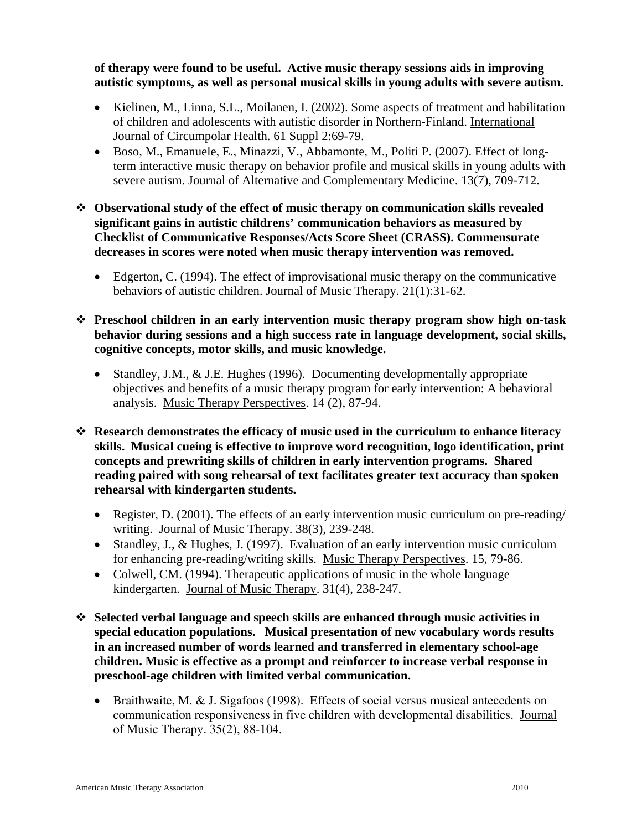**of therapy were found to be useful. Active music therapy sessions aids in improving autistic symptoms, as well as personal musical skills in young adults with severe autism.** 

- Kielinen, M., Linna, S.L., Moilanen, I. (2002). Some aspects of treatment and habilitation of children and adolescents with autistic disorder in Northern-Finland. International Journal of Circumpolar Health. 61 Suppl 2:69-79.
- Boso, M., Emanuele, E., Minazzi, V., Abbamonte, M., Politi P. (2007). Effect of longterm interactive music therapy on behavior profile and musical skills in young adults with severe autism. Journal of Alternative and Complementary Medicine. 13(7), 709-712.
- **Observational study of the effect of music therapy on communication skills revealed significant gains in autistic childrens' communication behaviors as measured by Checklist of Communicative Responses/Acts Score Sheet (CRASS). Commensurate decreases in scores were noted when music therapy intervention was removed.** 
	- Edgerton, C. (1994). The effect of improvisational music therapy on the communicative behaviors of autistic children. Journal of Music Therapy. 21(1):31-62.
- **Preschool children in an early intervention music therapy program show high on-task behavior during sessions and a high success rate in language development, social skills, cognitive concepts, motor skills, and music knowledge.** 
	- Standley, J.M., & J.E. Hughes (1996). Documenting developmentally appropriate objectives and benefits of a music therapy program for early intervention: A behavioral analysis. Music Therapy Perspectives. 14 (2), 87-94.
- **Research demonstrates the efficacy of music used in the curriculum to enhance literacy skills. Musical cueing is effective to improve word recognition, logo identification, print concepts and prewriting skills of children in early intervention programs. Shared reading paired with song rehearsal of text facilitates greater text accuracy than spoken rehearsal with kindergarten students.** 
	- Register, D. (2001). The effects of an early intervention music curriculum on pre-reading/ writing. Journal of Music Therapy. 38(3), 239-248.
	- Standley, J., & Hughes, J. (1997). Evaluation of an early intervention music curriculum for enhancing pre-reading/writing skills. Music Therapy Perspectives. 15, 79-86.
	- Colwell, CM. (1994). Therapeutic applications of music in the whole language kindergarten. Journal of Music Therapy. 31(4), 238-247.
- **Selected verbal language and speech skills are enhanced through music activities in special education populations. Musical presentation of new vocabulary words results in an increased number of words learned and transferred in elementary school-age children. Music is effective as a prompt and reinforcer to increase verbal response in preschool-age children with limited verbal communication.** 
	- Braithwaite, M. & J. Sigafoos (1998). Effects of social versus musical antecedents on communication responsiveness in five children with developmental disabilities. Journal of Music Therapy. 35(2), 88-104.